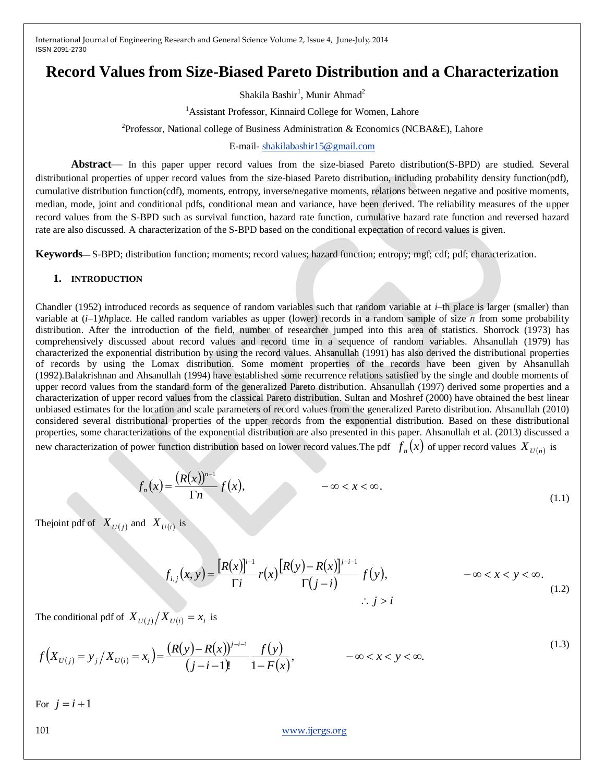# **Record Values from Size-Biased Pareto Distribution and a Characterization**

Shakila Bashir<sup>1</sup>, Munir Ahmad<sup>2</sup>

<sup>1</sup>Assistant Professor, Kinnaird College for Women, Lahore

<sup>2</sup>Professor, National college of Business Administration & Economics (NCBA&E), Lahore

### E-mail- [shakilabashir15@gmail.com](mailto:shakilabashir15@gmail.com)

**Abstract**— In this paper upper record values from the size-biased Pareto distribution(S-BPD) are studied. Several distributional properties of upper record values from the size-biased Pareto distribution, including probability density function(pdf), cumulative distribution function(cdf), moments, entropy, inverse/negative moments, relations between negative and positive moments, median, mode, joint and conditional pdfs, conditional mean and variance, have been derived. The reliability measures of the upper record values from the S-BPD such as survival function, hazard rate function, cumulative hazard rate function and reversed hazard rate are also discussed. A characterization of the S-BPD based on the conditional expectation of record values is given.

**Keywords**— S-BPD; distribution function; moments; record values; hazard function; entropy; mgf; cdf; pdf; characterization.

## **1. INTRODUCTION**

Chandler (1952) introduced records as sequence of random variables such that random variable at *i*–th place is larger (smaller) than variable at (*i*–1)*th*place. He called random variables as upper (lower) records in a random sample of size *n* from some probability distribution. After the introduction of the field, number of researcher jumped into this area of statistics. Shorrock (1973) has comprehensively discussed about record values and record time in a sequence of random variables. Ahsanullah (1979) has characterized the exponential distribution by using the record values. Ahsanullah (1991) has also derived the distributional properties of records by using the Lomax distribution. Some moment properties of the records have been given by Ahsanullah (1992).Balakrishnan and Ahsanullah (1994) have established some recurrence relations satisfied by the single and double moments of upper record values from the standard form of the generalized Pareto distribution. Ahsanullah (1997) derived some properties and a characterization of upper record values from the classical Pareto distribution. Sultan and Moshref (2000) have obtained the best linear unbiased estimates for the location and scale parameters of record values from the generalized Pareto distribution. Ahsanullah (2010) considered several distributional properties of the upper records from the exponential distribution. Based on these distributional properties, some characterizations of the exponential distribution are also presented in this paper. Ahsanullah et al. (2013) discussed a new characterization of power function distribution based on lower record values. The pdf  $f_n(x)$  of upper record values  $X_{U(n)}$  is

$$
f_n(x) = \frac{(R(x))^{n-1}}{\Gamma n} f(x), \qquad -\infty < x < \infty. \tag{1.1}
$$

The joint pdf of  $X_{U(j)}$  and  $X_{U(i)}$  is

$$
f_{i,j}(x,y) = \frac{[R(x)]^{i-1}}{\Gamma i} r(x) \frac{[R(y)-R(x)]^{j-i-1}}{\Gamma(j-i)} f(y), \qquad -\infty < x < y < \infty. \tag{1.2}
$$

The conditional pdf of  $X_{U(j)}/X_{U(i)} = x_i$  is

$$
f\left(X_{U(j)}=y_j\middle/X_{U(i)}=x_i\right)=\frac{\left(R(y)-R(x)\right)^{j-i-1}}{(j-i-1)!}\frac{f(y)}{1-F(x)},\qquad -\infty < x < y < \infty.\tag{1.3}
$$

For  $j = i + 1$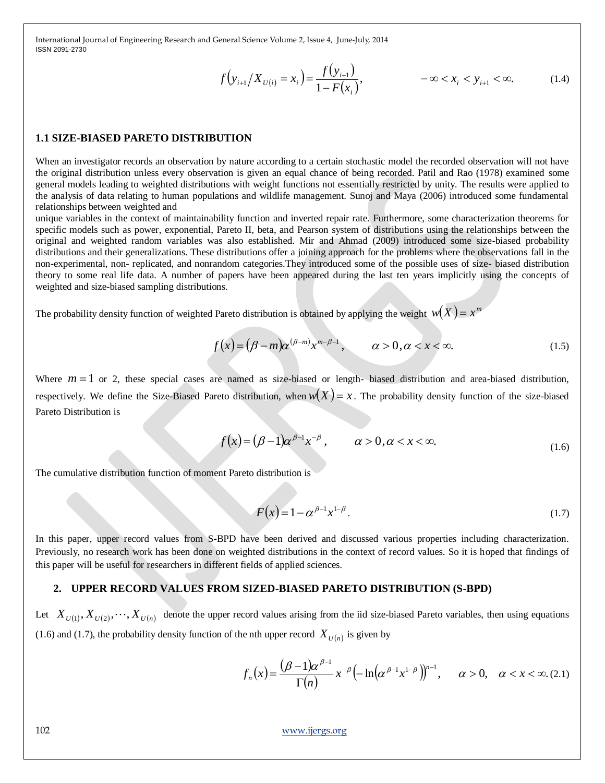$$
f(y_{i+1}/X_{U(i)} = x_i) = \frac{f(y_{i+1})}{1 - F(x_i)}, \qquad -\infty < x_i < y_{i+1} < \infty. \tag{1.4}
$$

#### **1.1 SIZE-BIASED PARETO DISTRIBUTION**

When an investigator records an observation by nature according to a certain stochastic model the recorded observation will not have the original distribution unless every observation is given an equal chance of being recorded. Patil and Rao (1978) examined some general models leading to weighted distributions with weight functions not essentially restricted by unity. The results were applied to the analysis of data relating to human populations and wildlife management. Sunoj and Maya (2006) introduced some fundamental relationships between weighted and

unique variables in the context of maintainability function and inverted repair rate. Furthermore, some characterization theorems for specific models such as power, exponential, Pareto II, beta, and Pearson system of distributions using the relationships between the original and weighted random variables was also established. Mir and Ahmad (2009) introduced some size-biased probability distributions and their generalizations. These distributions offer a joining approach for the problems where the observations fall in the non-experimental, non- replicated, and nonrandom categories.They introduced some of the possible uses of size- biased distribution theory to some real life data. A number of papers have been appeared during the last ten years implicitly using the concepts of weighted and size-biased sampling distributions.

The probability density function of weighted Pareto distribution is obtained by applying the weight  $w(X) = x^m$ 

$$
f(x) = (\beta - m)\alpha^{(\beta - m)}x^{m - \beta - 1}, \qquad \alpha > 0, \alpha < x < \infty.
$$
 (1.5)

Where  $m = 1$  or 2, these special cases are named as size-biased or length- biased distribution and area-biased distribution, respectively. We define the Size-Biased Pareto distribution, when  $w(X) = x$ . The probability density function of the size-biased Pareto Distribution is

$$
f(x) = (\beta - 1)\alpha^{\beta - 1} x^{-\beta}, \qquad \alpha > 0, \alpha < x < \infty.
$$
 (1.6)

The cumulative distribution function of moment Pareto distribution is

$$
F(x) = 1 - \alpha^{\beta - 1} x^{1 - \beta}.
$$
 (1.7)

In this paper, upper record values from S-BPD have been derived and discussed various properties including characterization. Previously, no research work has been done on weighted distributions in the context of record values. So it is hoped that findings of this paper will be useful for researchers in different fields of applied sciences.

#### **2. UPPER RECORD VALUES FROM SIZED-BIASED PARETO DISTRIBUTION (S-BPD)**

Let  $X_{U(1)}, X_{U(2)}, \dots, X_{U(n)}$  denote the upper record values arising from the iid size-biased Pareto variables, then using equations (1.6) and (1.7), the probability density function of the nth upper record  $X_{U(n)}$  is given by

$$
f_n(x) = \frac{(\beta - 1)\alpha^{\beta - 1}}{\Gamma(n)} x^{-\beta} \left( -\ln\left(\alpha^{\beta - 1} x^{1 - \beta}\right)\right)^{n - 1}, \quad \alpha > 0, \quad \alpha < x < \infty. (2.1)
$$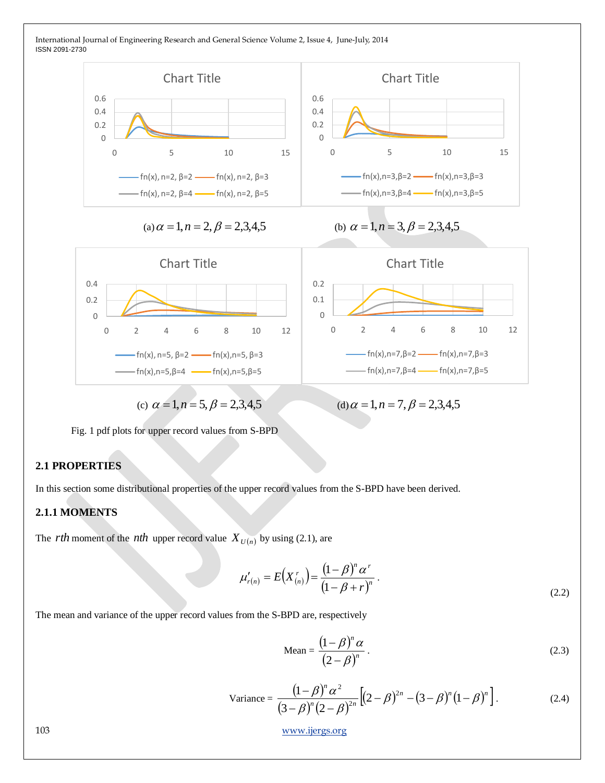

(c)  $\alpha = 1, n = 5, \beta = 2,3,4,5$  (d)

(d)  $\alpha = 1, n = 7, \beta = 2,3,4,5$ 

Fig. 1 pdf plots for upper record values from S-BPD

## **2.1 PROPERTIES**

In this section some distributional properties of the upper record values from the S-BPD have been derived.

## **2.1.1 MOMENTS**

The *rth* moment of the *nth* upper record value  $X_{U(n)}$  by using (2.1), are

$$
\mu'_{r(n)} = E(X_{(n)}^r) = \frac{(1-\beta)^n \alpha^r}{(1-\beta+r)^n}.
$$
\n(2.2)

The mean and variance of the upper record values from the S-BPD are, respectively

$$
\text{Mean} = \frac{\left(1 - \beta\right)^n \alpha}{\left(2 - \beta\right)^n} \,. \tag{2.3}
$$

Variance = 
$$
\frac{(1-\beta)^n \alpha^2}{(3-\beta)^n (2-\beta)^{2n}} [(2-\beta)^{2n} - (3-\beta)^n (1-\beta)^n].
$$
 (2.4)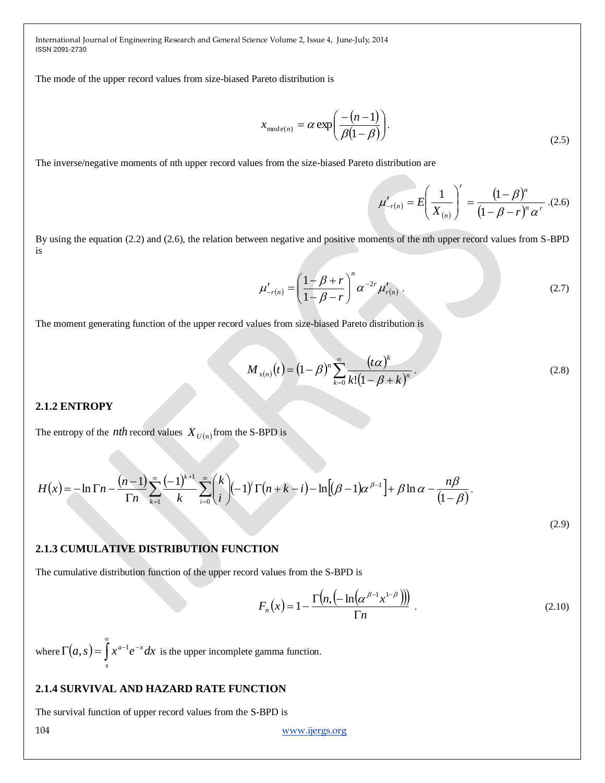The mode of the upper record values from size-biased Pareto distribution is

$$
x_{\text{mode}(n)} = \alpha \exp\left(\frac{-(n-1)}{\beta(1-\beta)}\right). \tag{2.5}
$$

The inverse/negative moments of nth upper record values from the size-biased Pareto distribution are

$$
\mu'_{-r(n)} = E\left(\frac{1}{X_{(n)}}\right)^r = \frac{\left(1-\beta\right)^n}{\left(1-\beta-r\right)^n \alpha^r}.
$$
(2.6)

By using the equation (2.2) and (2.6), the relation between negative and positive moments of the nth upper record values from S-BPD is

$$
\mu'_{-r(n)} = \left(\frac{1-\beta+r}{1-\beta-r}\right)^n \alpha^{-2r} \mu'_{r(n)}.
$$
\n(2.7)

The moment generating function of the upper record values from size-biased Pareto distribution is

$$
M_{x(n)}(t) = (1 - \beta)^n \sum_{k=0}^{\infty} \frac{(t\alpha)^k}{k!(1 - \beta + k)^n}.
$$
 (2.8)

#### **2.1.2 ENTROPY**

The entropy of the *nth* record values  $X_{U(n)}$  from the S-BPD is

$$
H(x) = -\ln \Gamma n - \frac{(n-1)}{\Gamma n} \sum_{k=1}^{\infty} \frac{(-1)^{k+1}}{k} \sum_{i=0}^{\infty} {k \choose i} (-1)^i \Gamma(n+k-i) - \ln \left[ (\beta - 1)\alpha^{\beta - 1} \right] + \beta \ln \alpha - \frac{n\beta}{(1-\beta)}.
$$
\n(2.9)

## **2.1.3 CUMULATIVE DISTRIBUTION FUNCTION**

The cumulative distribution function of the upper record values from the S-BPD is

$$
F_n(x) = 1 - \frac{\Gamma\left(n, \left(-\ln\left(\alpha^{\beta-1} x^{1-\beta}\right)\right)\right)}{\Gamma n} \tag{2.10}
$$

where  $\Gamma(a, s) = \int x^{a-1} e^{-x} dx$ *s*  $a-1$ <sub>2</sub>-∞  $\Gamma(a,s) = \int x^{a-1} e^{-x} dx$  is the upper incomplete gamma function.

## **2.1.4 SURVIVAL AND HAZARD RATE FUNCTION**

The survival function of upper record values from the S-BPD is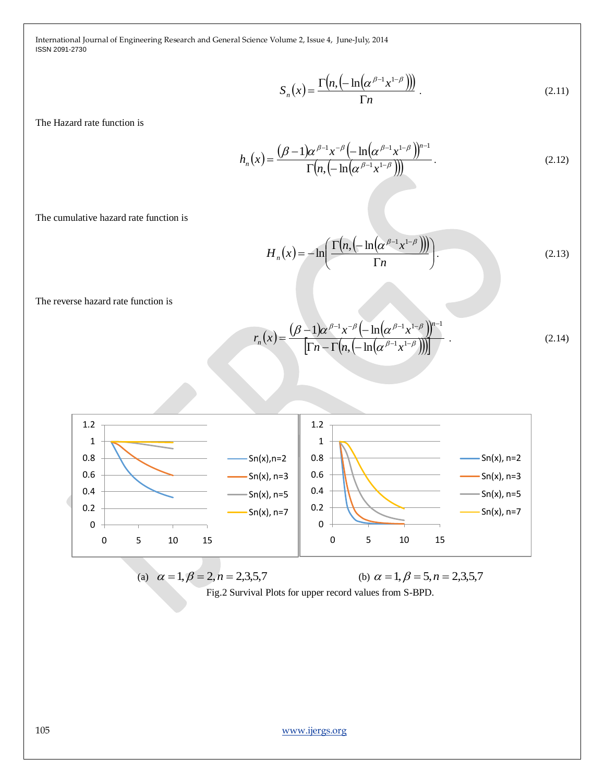$$
S_n(x) = \frac{\Gamma\left(n, \left(-\ln\left(\alpha^{\beta-1} x^{1-\beta}\right)\right)\right)}{\Gamma n} \tag{2.11}
$$

The Hazard rate function is

$$
h_n(x) = \frac{(\beta - 1)\alpha^{\beta - 1} x^{-\beta} \left(-\ln(\alpha^{\beta - 1} x^{1 - \beta})\right)^{n - 1}}{\Gamma(n, \left(-\ln(\alpha^{\beta - 1} x^{1 - \beta})\right))}.
$$
 (2.12)

The cumulative hazard rate function is

$$
H_n(x) = -\ln\left(\frac{\Gamma\left(n, \left(-\ln\left(\alpha^{\beta-1} x^{1-\beta}\right)\right)\right)}{\Gamma n}\right).
$$
\n(2.13)

The reverse hazard rate function is

$$
r_n(x) = \frac{(\beta - 1)\alpha^{\beta - 1}x^{-\beta}\left(-\ln\left(\alpha^{\beta - 1}x^{1-\beta}\right)\right)^{n-1}}{\left[\Gamma n - \Gamma\left(n, \left(-\ln\left(\alpha^{\beta - 1}x^{1-\beta}\right)\right)\right)\right]} \tag{2.14}
$$



(a)  $\alpha = 1, \beta = 2, n = 2,3,5,7$  (b) (b)  $\alpha = 1, \beta = 5, n = 2,3,5,7$ Fig.2 Survival Plots for upper record values from S-BPD.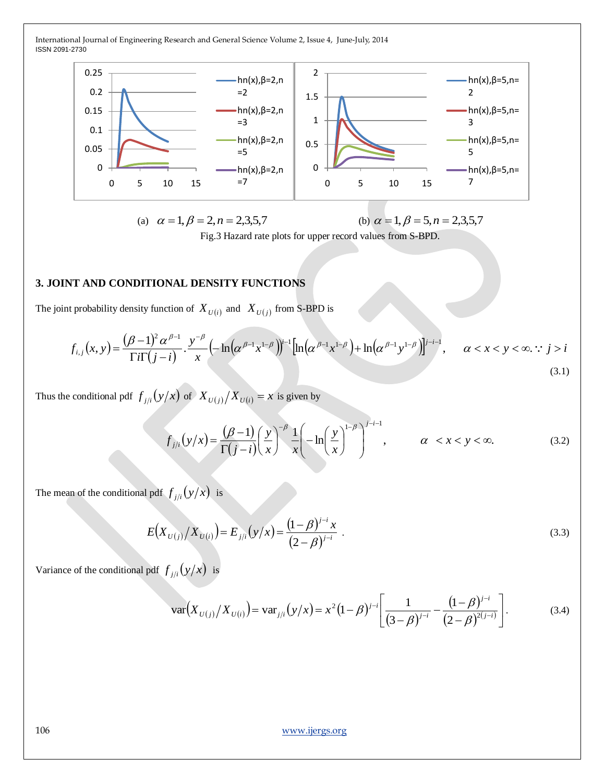

(a) 
$$
\alpha = 1, \beta = 2, n = 2,3,5,7
$$
   
 (b)  $\alpha = 1, \beta = 5, n = 2,3,5,7$ 

Fig.3 Hazard rate plots for upper record values from S-BPD.

## **3. JOINT AND CONDITIONAL DENSITY FUNCTIONS**

The joint probability density function of  $X_{U(i)}$  and  $X_{U(j)}$  from S-BPD is

$$
f_{i,j}(x,y) = \frac{(\beta - 1)^2 \alpha^{\beta - 1}}{\Gamma i \Gamma(j - i)} \cdot \frac{y^{-\beta}}{x} \left( -\ln(\alpha^{\beta - 1} x^{1 - \beta}) \right)^{j - 1} \left[ \ln(\alpha^{\beta - 1} x^{1 - \beta}) + \ln(\alpha^{\beta - 1} y^{1 - \beta}) \right]^{j - i - 1}, \quad \alpha < x < y < \infty. \quad (3.1)
$$

Thus the conditional pdf  $f_{j/i}(y/x)$  of  $X_{U(j)}/X_{U(i)} = x$  is given by

$$
f_{j/i}(y/x) = \frac{(\beta - 1)}{\Gamma(j - i)} \left(\frac{y}{x}\right)^{-\beta} \frac{1}{x} \left(-\ln\left(\frac{y}{x}\right)^{1 - \beta}\right)^{j - i - 1}, \qquad \alpha < x < y < \infty. \tag{3.2}
$$

The mean of the conditional pdf  $f_{j/i}(y/x)$  is

$$
E(X_{U(j)}/X_{U(i)}) = E_{j/i}(y/x) = \frac{(1-\beta)^{j-i}x}{(2-\beta)^{j-i}}.
$$
\n(3.3)

Variance of the conditional pdf  $f_{j/i}(y/x)$  is

$$
\text{var}\Big(X_{U(j)}/X_{U(i)}\Big) = \text{var}_{j/i}\big(y/x\big) = x^2\big(1-\beta\big)^{j-i}\Bigg[\frac{1}{(3-\beta)^{j-i}} - \frac{\big(1-\beta\big)^{j-i}}{(2-\beta)^{2(j-i)}}\Bigg].\tag{3.4}
$$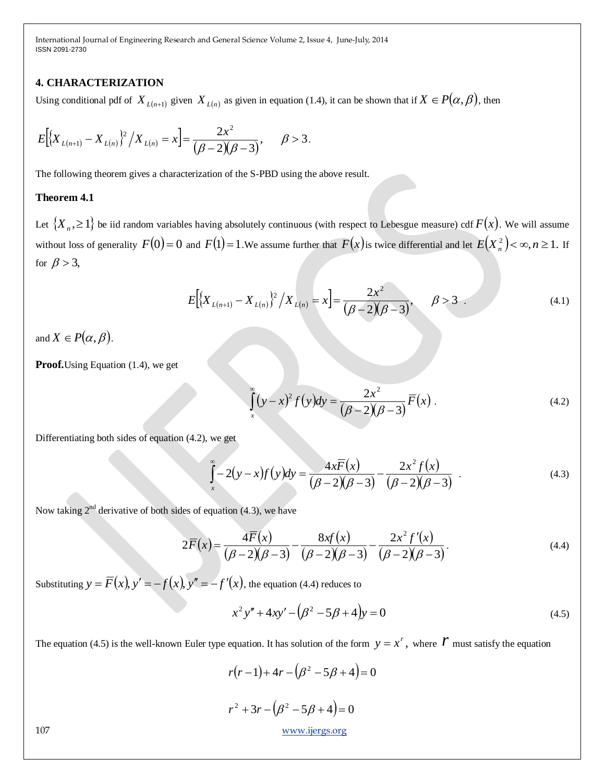## **4. CHARACTERIZATION**

Using conditional pdf of  $X_{L(n+1)}$  given  $X_{L(n)}$  as given in equation (1.4), it can be shown that if  $X \in P(\alpha, \beta)$ , then

$$
E\Big[\big\{X_{L(n+1)}-X_{L(n)}\big\}^2\big/ X_{L(n)}=x\Big]=\frac{2x^2}{(\beta-2)(\beta-3)}, \quad \beta>3
$$

The following theorem gives a characterization of the S-PBD using the above result.

## **Theorem 4.1**

Let  $\{X_n, \geq 1\}$  be iid random variables having absolutely continuous (with respect to Lebesgue measure) cdf  $F(x)$ . We will assume without loss of generality  $F(0) = 0$  and  $F(1) = 1$ . We assume further that  $F(x)$  is twice differential and let  $E(X_n^2) < \infty, n \ge 1$ . If for  $\beta > 3$ ,

.

$$
E\Big[\big\{X_{L(n+1)} - X_{L(n)}\big\}^2 / X_{L(n)} = x\Big] = \frac{2x^2}{(\beta - 2)(\beta - 3)}, \quad \beta > 3.
$$
 (4.1)

and  $X \in P(\alpha, \beta)$ .

**Proof.**Using Equation (1.4), we get

$$
\int_{x}^{\infty} (y - x)^2 f(y) dy = \frac{2x^2}{(\beta - 2)(\beta - 3)} \overline{F}(x) .
$$
 (4.2)

Differentiating both sides of equation (4.2), we get

$$
\int_{x}^{\infty} -2(y-x)f(y)dy = \frac{4x\overline{F}(x)}{(\beta-2)(\beta-3)} - \frac{2x^2f(x)}{(\beta-2)(\beta-3)}.
$$
\n(4.3)

Now taking  $2<sup>nd</sup>$  derivative of both sides of equation (4.3), we have

$$
2\overline{F}(x) = \frac{\overline{4F}(x)}{(\beta - 2)(\beta - 3)} - \frac{8xf(x)}{(\beta - 2)(\beta - 3)} - \frac{2x^2f'(x)}{(\beta - 2)(\beta - 3)}.
$$
\n(4.4)

Substituting  $y = \overline{F}(x)$ ,  $y' = -f(x)$ ,  $y'' = -f'(x)$ , the equation (4.4) reduces to

$$
x^{2}y'' + 4xy' - (\beta^{2} - 5\beta + 4)y = 0
$$
\n(4.5)

The equation (4.5) is the well-known Euler type equation. It has solution of the form  $y = x^r$ , where  $\mathcal V$  must satisfy the equation

$$
r(r-1) + 4r - (\beta^2 - 5\beta + 4) = 0
$$
  

$$
r^2 + 3r - (\beta^2 - 5\beta + 4) = 0
$$
  
www.ijergs.org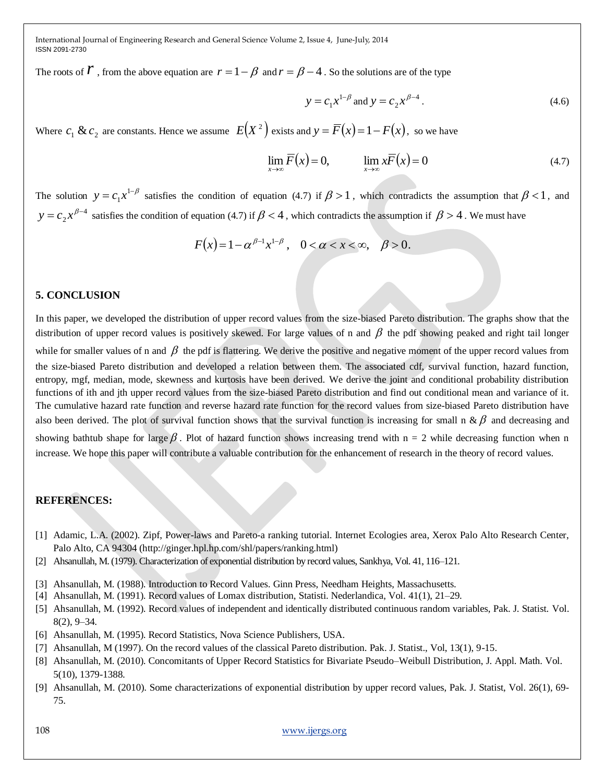The roots of  $\vec{r}$ , from the above equation are  $r = 1 - \beta$  and  $r = \beta - 4$ . So the solutions are of the type

$$
y = c_1 x^{1-\beta}
$$
 and  $y = c_2 x^{\beta-4}$ . (4.6)

Where  $c_1 \& c_2$  are constants. Hence we assume  $E(X^2)$  exists and  $y = \overline{F}(x) = 1 - F(x)$ , so we have

$$
\lim_{x \to \infty} \overline{F}(x) = 0, \qquad \lim_{x \to \infty} x\overline{F}(x) = 0 \tag{4.7}
$$

The solution  $y = c_1 x^{1-\beta}$  $y = c_1 x^{1-\beta}$  satisfies the condition of equation (4.7) if  $\beta > 1$ , which contradicts the assumption that  $\beta < 1$ , and 4 2  $y = c_2 x^{\beta-4}$  satisfies the condition of equation (4.7) if  $\beta < 4$ , which contradicts the assumption if  $\beta > 4$ . We must have

$$
F(x) = 1 - \alpha^{\beta - 1} x^{1 - \beta}, \quad 0 < \alpha < x < \infty, \quad \beta > 0.
$$

### **5. CONCLUSION**

In this paper, we developed the distribution of upper record values from the size-biased Pareto distribution. The graphs show that the distribution of upper record values is positively skewed. For large values of n and  $\beta$  the pdf showing peaked and right tail longer while for smaller values of n and  $\beta$  the pdf is flattering. We derive the positive and negative moment of the upper record values from the size-biased Pareto distribution and developed a relation between them. The associated cdf, survival function, hazard function, entropy, mgf, median, mode, skewness and kurtosis have been derived. We derive the joint and conditional probability distribution functions of ith and jth upper record values from the size-biased Pareto distribution and find out conditional mean and variance of it. The cumulative hazard rate function and reverse hazard rate function for the record values from size-biased Pareto distribution have also been derived. The plot of survival function shows that the survival function is increasing for small n &  $\beta$  and decreasing and showing bathtub shape for large  $\beta$  . Plot of hazard function shows increasing trend with n = 2 while decreasing function when n increase. We hope this paper will contribute a valuable contribution for the enhancement of research in the theory of record values.

### **REFERENCES:**

- [1] Adamic, L.A. (2002). Zipf, Power-laws and Pareto-a ranking tutorial. Internet Ecologies area, Xerox Palo Alto Research Center, Palo Alto, CA 94304 (http://ginger.hpl.hp.com/shl/papers/ranking.html)
- [2] Ahsanullah, M. (1979). Characterization of exponential distribution by record values, Sankhya, Vol. 41, 116–121.
- [3] Ahsanullah, M. (1988). Introduction to Record Values. Ginn Press, Needham Heights, Massachusetts.
- [4] Ahsanullah, M. (1991). Record values of Lomax distribution, Statisti. Nederlandica, Vol. 41(1), 21–29.
- [5] Ahsanullah, M. (1992). Record values of independent and identically distributed continuous random variables, Pak. J. Statist. Vol. 8(2), 9–34.
- [6] Ahsanullah, M. (1995). Record Statistics, Nova Science Publishers, USA.
- [7] Ahsanullah, M (1997). On the record values of the classical Pareto distribution. Pak. J. Statist., Vol, 13(1), 9-15.
- [8] Ahsanullah, M. (2010). Concomitants of Upper Record Statistics for Bivariate Pseudo–Weibull Distribution, J. Appl. Math. Vol. 5(10), 1379-1388.
- [9] Ahsanullah, M. (2010). Some characterizations of exponential distribution by upper record values, Pak. J. Statist, Vol. 26(1), 69- 75.